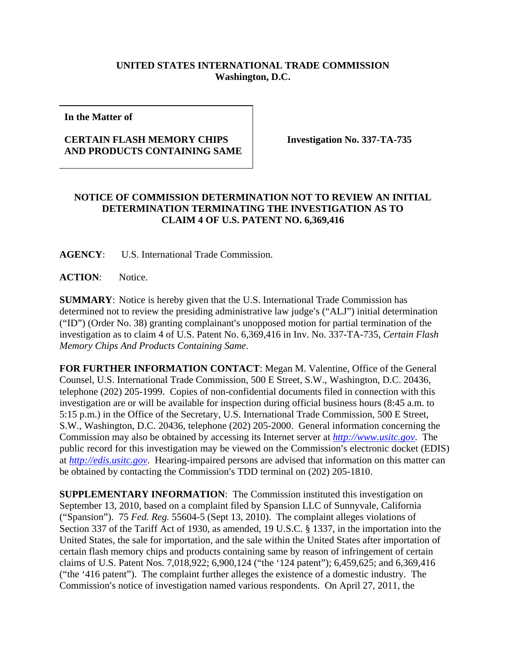## **UNITED STATES INTERNATIONAL TRADE COMMISSION Washington, D.C.**

**In the Matter of** 

## **CERTAIN FLASH MEMORY CHIPS AND PRODUCTS CONTAINING SAME**

**Investigation No. 337-TA-735** 

## **NOTICE OF COMMISSION DETERMINATION NOT TO REVIEW AN INITIAL DETERMINATION TERMINATING THE INVESTIGATION AS TO CLAIM 4 OF U.S. PATENT NO. 6,369,416**

**AGENCY**: U.S. International Trade Commission.

ACTION: Notice.

**SUMMARY**: Notice is hereby given that the U.S. International Trade Commission has determined not to review the presiding administrative law judge's ("ALJ") initial determination  $("ID")$  (Order No. 38) granting complainant's unopposed motion for partial termination of the investigation as to claim 4 of U.S. Patent No. 6,369,416 in Inv. No. 337-TA-735, *Certain Flash Memory Chips And Products Containing Same*.

**FOR FURTHER INFORMATION CONTACT**: Megan M. Valentine, Office of the General Counsel, U.S. International Trade Commission, 500 E Street, S.W., Washington, D.C. 20436, telephone (202) 205-1999. Copies of non-confidential documents filed in connection with this investigation are or will be available for inspection during official business hours (8:45 a.m. to 5:15 p.m.) in the Office of the Secretary, U.S. International Trade Commission, 500 E Street, S.W., Washington, D.C. 20436, telephone (202) 205-2000. General information concerning the Commission may also be obtained by accessing its Internet server at *http://www.usitc.gov*. The public record for this investigation may be viewed on the Commission's electronic docket (EDIS) at *http://edis.usitc.gov*. Hearing-impaired persons are advised that information on this matter can be obtained by contacting the Commission's TDD terminal on (202) 205-1810.

**SUPPLEMENTARY INFORMATION:** The Commission instituted this investigation on September 13, 2010, based on a complaint filed by Spansion LLC of Sunnyvale, California ("Spansion"). 75 *Fed. Reg.* 55604-5 (Sept 13, 2010). The complaint alleges violations of Section 337 of the Tariff Act of 1930, as amended, 19 U.S.C. § 1337, in the importation into the United States, the sale for importation, and the sale within the United States after importation of certain flash memory chips and products containing same by reason of infringement of certain claims of U.S. Patent Nos. 7,018,922; 6,900,124 ("the '124 patent"); 6,459,625; and 6,369,416 ("the '416 patent"). The complaint further alleges the existence of a domestic industry. The Commission's notice of investigation named various respondents. On April 27, 2011, the